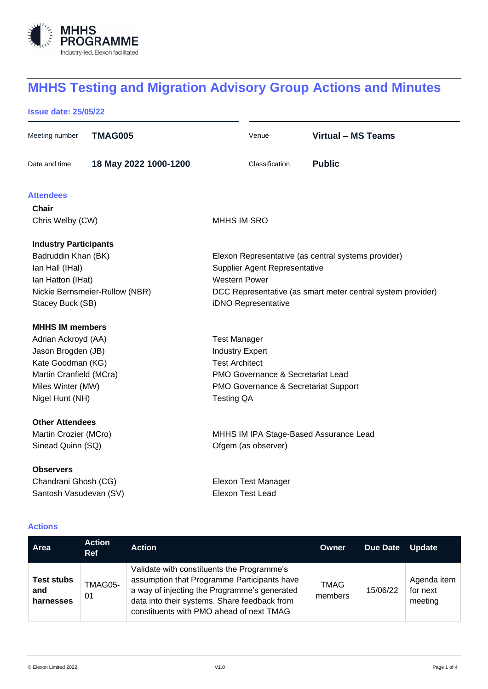

# **MHHS Testing and Migration Advisory Group Actions and Minutes**

# **Issue date: 25/05/22**

| Meeting number                 | <b>TMAG005</b>        |                                                             | Venue               | <b>Virtual - MS Teams</b>                           |  |  |
|--------------------------------|-----------------------|-------------------------------------------------------------|---------------------|-----------------------------------------------------|--|--|
| Date and time                  | 18 May 2022 1000-1200 |                                                             | Classification      | <b>Public</b>                                       |  |  |
| <b>Attendees</b>               |                       |                                                             |                     |                                                     |  |  |
| Chair                          |                       |                                                             |                     |                                                     |  |  |
| Chris Welby (CW)               |                       | MHHS IM SRO                                                 |                     |                                                     |  |  |
| <b>Industry Participants</b>   |                       |                                                             |                     |                                                     |  |  |
| Badruddin Khan (BK)            |                       |                                                             |                     | Elexon Representative (as central systems provider) |  |  |
| Ian Hall (IHal)                |                       | Supplier Agent Representative                               |                     |                                                     |  |  |
| Ian Hatton (IHat)              |                       | <b>Western Power</b>                                        |                     |                                                     |  |  |
| Nickie Bernsmeier-Rullow (NBR) |                       | DCC Representative (as smart meter central system provider) |                     |                                                     |  |  |
| Stacey Buck (SB)               |                       |                                                             | iDNO Representative |                                                     |  |  |
| <b>MHHS IM members</b>         |                       |                                                             |                     |                                                     |  |  |
| Adrian Ackroyd (AA)            |                       | <b>Test Manager</b>                                         |                     |                                                     |  |  |
| Jason Brogden (JB)             |                       | <b>Industry Expert</b>                                      |                     |                                                     |  |  |
| Kate Goodman (KG)              |                       | <b>Test Architect</b>                                       |                     |                                                     |  |  |
| Martin Cranfield (MCra)        |                       | PMO Governance & Secretariat Lead                           |                     |                                                     |  |  |
| Miles Winter (MW)              |                       | PMO Governance & Secretariat Support                        |                     |                                                     |  |  |
| Nigel Hunt (NH)                |                       | <b>Testing QA</b>                                           |                     |                                                     |  |  |
| <b>Other Attendees</b>         |                       |                                                             |                     |                                                     |  |  |
| Martin Crozier (MCro)          |                       | MHHS IM IPA Stage-Based Assurance Lead                      |                     |                                                     |  |  |
| Sinead Quinn (SQ)              |                       |                                                             | Ofgem (as observer) |                                                     |  |  |
| <b>Observers</b>               |                       |                                                             |                     |                                                     |  |  |
| Chandrani Ghosh (CG)           |                       | Elexon Test Manager                                         |                     |                                                     |  |  |
| Santosh Vasudevan (SV)         |                       |                                                             | Elexon Test Lead    |                                                     |  |  |
|                                |                       |                                                             |                     |                                                     |  |  |

# **Actions**

| Area                                  | <b>Action</b><br><b>Ref</b> | <b>Action</b>                                                                                                                                                                                                                         | Owner                  | <b>Due Date</b> | <b>Update</b>                      |
|---------------------------------------|-----------------------------|---------------------------------------------------------------------------------------------------------------------------------------------------------------------------------------------------------------------------------------|------------------------|-----------------|------------------------------------|
| <b>Test stubs</b><br>and<br>harnesses | TMAG05-<br>01               | Validate with constituents the Programme's<br>assumption that Programme Participants have<br>a way of injecting the Programme's generated<br>data into their systems. Share feedback from<br>constituents with PMO ahead of next TMAG | <b>TMAG</b><br>members | 15/06/22        | Agenda item<br>for next<br>meeting |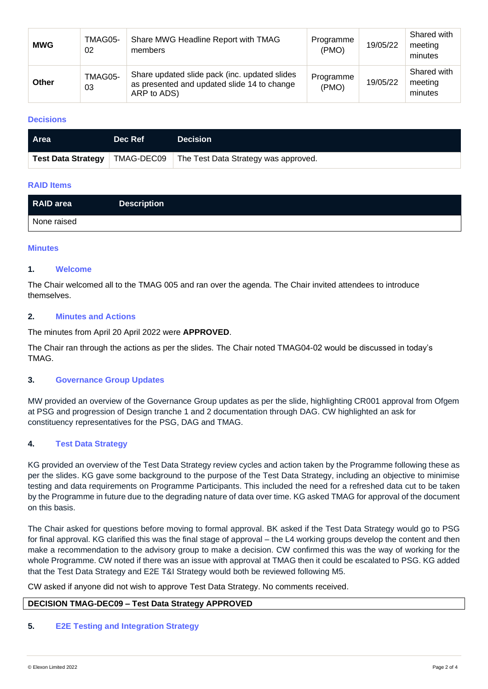| <b>MWG</b>   | TMAG05-<br>02 | Share MWG Headline Report with TMAG<br>members                                                              | Programme<br>(PMO) | 19/05/22 | Shared with<br>meeting<br>minutes |
|--------------|---------------|-------------------------------------------------------------------------------------------------------------|--------------------|----------|-----------------------------------|
| <b>Other</b> | TMAG05-<br>03 | Share updated slide pack (inc. updated slides<br>as presented and updated slide 14 to change<br>ARP to ADS) | Programme<br>(PMO) | 19/05/22 | Shared with<br>meeting<br>minutes |

## **Decisions**

| ∣ Area                    | Dec Ref    | <b>Decision</b>                      |
|---------------------------|------------|--------------------------------------|
| <b>Test Data Strategy</b> | TMAG-DEC09 | The Test Data Strategy was approved. |

## **RAID Items**

| RAID area   | <b>Description</b> |
|-------------|--------------------|
| None raised |                    |

#### **Minutes**

#### **1. Welcome**

The Chair welcomed all to the TMAG 005 and ran over the agenda. The Chair invited attendees to introduce themselves.

#### **2. Minutes and Actions**

The minutes from April 20 April 2022 were **APPROVED**.

The Chair ran through the actions as per the slides. The Chair noted TMAG04-02 would be discussed in today's TMAG.

## **3. Governance Group Updates**

MW provided an overview of the Governance Group updates as per the slide, highlighting CR001 approval from Ofgem at PSG and progression of Design tranche 1 and 2 documentation through DAG. CW highlighted an ask for constituency representatives for the PSG, DAG and TMAG.

# **4. Test Data Strategy**

KG provided an overview of the Test Data Strategy review cycles and action taken by the Programme following these as per the slides. KG gave some background to the purpose of the Test Data Strategy, including an objective to minimise testing and data requirements on Programme Participants. This included the need for a refreshed data cut to be taken by the Programme in future due to the degrading nature of data over time. KG asked TMAG for approval of the document on this basis.

The Chair asked for questions before moving to formal approval. BK asked if the Test Data Strategy would go to PSG for final approval. KG clarified this was the final stage of approval – the L4 working groups develop the content and then make a recommendation to the advisory group to make a decision. CW confirmed this was the way of working for the whole Programme. CW noted if there was an issue with approval at TMAG then it could be escalated to PSG. KG added that the Test Data Strategy and E2E T&I Strategy would both be reviewed following M5.

CW asked if anyone did not wish to approve Test Data Strategy. No comments received.

# **DECISION TMAG-DEC09 – Test Data Strategy APPROVED**

#### **5. E2E Testing and Integration Strategy**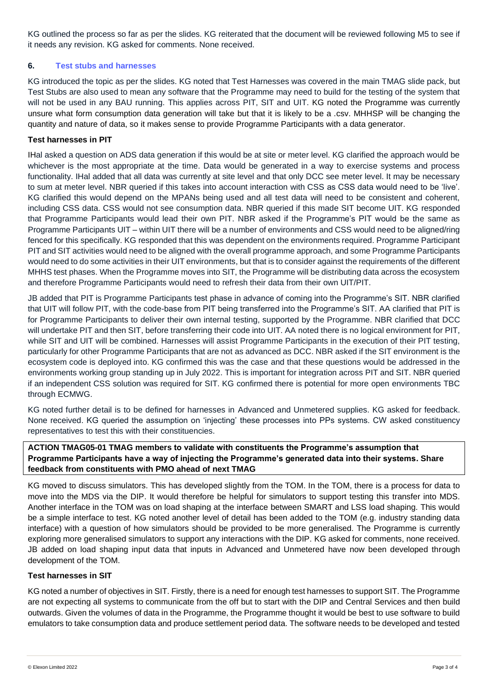KG outlined the process so far as per the slides. KG reiterated that the document will be reviewed following M5 to see if it needs any revision. KG asked for comments. None received.

## **6. Test stubs and harnesses**

KG introduced the topic as per the slides. KG noted that Test Harnesses was covered in the main TMAG slide pack, but Test Stubs are also used to mean any software that the Programme may need to build for the testing of the system that will not be used in any BAU running. This applies across PIT, SIT and UIT. KG noted the Programme was currently unsure what form consumption data generation will take but that it is likely to be a *.*csv. MHHSP will be changing the quantity and nature of data, so it makes sense to provide Programme Participants with a data generator.

#### **Test harnesses in PIT**

IHal asked a question on ADS data generation if this would be at site or meter level. KG clarified the approach would be whichever is the most appropriate at the time. Data would be generated in a way to exercise systems and process functionality. IHal added that all data was currently at site level and that only DCC see meter level. It may be necessary to sum at meter level. NBR queried if this takes into account interaction with CSS as CSS data would need to be 'live'. KG clarified this would depend on the MPANs being used and all test data will need to be consistent and coherent, including CSS data. CSS would not see consumption data. NBR queried if this made SIT become UIT. KG responded that Programme Participants would lead their own PIT. NBR asked if the Programme's PIT would be the same as Programme Participants UIT – within UIT there will be a number of environments and CSS would need to be aligned/ring fenced for this specifically. KG responded that this was dependent on the environments required. Programme Participant PIT and SIT activities would need to be aligned with the overall programme approach, and some Programme Participants would need to do some activities in their UIT environments, but that is to consider against the requirements of the different MHHS test phases. When the Programme moves into SIT, the Programme will be distributing data across the ecosystem and therefore Programme Participants would need to refresh their data from their own UIT/PIT.

JB added that PIT is Programme Participants test phase in advance of coming into the Programme's SIT. NBR clarified that UIT will follow PIT, with the code-base from PIT being transferred into the Programme's SIT. AA clarified that PIT is for Programme Participants to deliver their own internal testing, supported by the Programme. NBR clarified that DCC will undertake PIT and then SIT, before transferring their code into UIT. AA noted there is no logical environment for PIT, while SIT and UIT will be combined. Harnesses will assist Programme Participants in the execution of their PIT testing, particularly for other Programme Participants that are not as advanced as DCC. NBR asked if the SIT environment is the ecosystem code is deployed into. KG confirmed this was the case and that these questions would be addressed in the environments working group standing up in July 2022. This is important for integration across PIT and SIT. NBR queried if an independent CSS solution was required for SIT. KG confirmed there is potential for more open environments TBC through ECMWG.

KG noted further detail is to be defined for harnesses in Advanced and Unmetered supplies. KG asked for feedback. None received. KG queried the assumption on 'injecting' these processes into PPs systems. CW asked constituency representatives to test this with their constituencies.

# **ACTION TMAG05-01 TMAG members to validate with constituents the Programme's assumption that Programme Participants have a way of injecting the Programme's generated data into their systems. Share feedback from constituents with PMO ahead of next TMAG**

KG moved to discuss simulators. This has developed slightly from the TOM. In the TOM, there is a process for data to move into the MDS via the DIP. It would therefore be helpful for simulators to support testing this transfer into MDS. Another interface in the TOM was on load shaping at the interface between SMART and LSS load shaping. This would be a simple interface to test. KG noted another level of detail has been added to the TOM (e.g. industry standing data interface) with a question of how simulators should be provided to be more generalised. The Programme is currently exploring more generalised simulators to support any interactions with the DIP. KG asked for comments, none received. JB added on load shaping input data that inputs in Advanced and Unmetered have now been developed through development of the TOM.

## **Test harnesses in SIT**

KG noted a number of objectives in SIT. Firstly, there is a need for enough test harnesses to support SIT. The Programme are not expecting all systems to communicate from the off but to start with the DIP and Central Services and then build outwards. Given the volumes of data in the Programme, the Programme thought it would be best to use software to build emulators to take consumption data and produce settlement period data. The software needs to be developed and tested